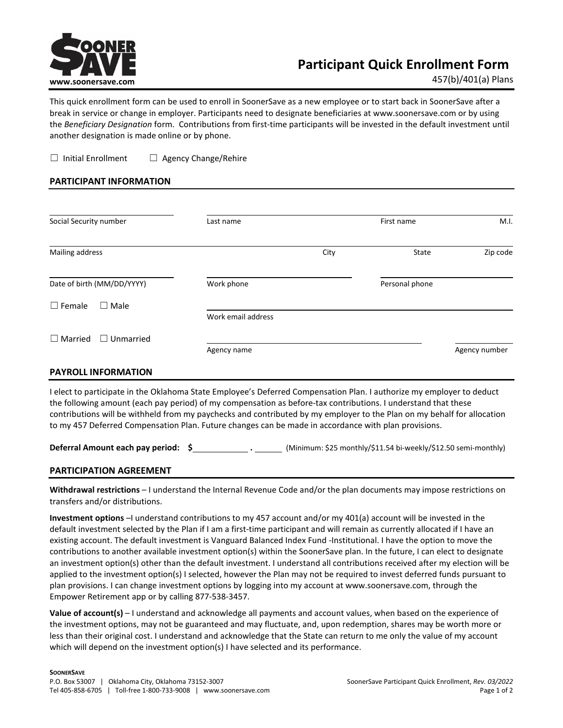

457(b)/401(a) Plans

This quick enrollment form can be used to enroll in SoonerSave as a new employee or to start back in SoonerSave after a break in service or change in employer. Participants need to designate beneficiaries at www.soonersave.com or by using the *Beneficiary Designation* form. Contributions from first-time participants will be invested in the default investment until another designation is made online or by phone.

☐ Initial Enrollment ☐ Agency Change/Rehire

## **PARTICIPANT INFORMATION**

| Social Security number             | Last name          |      | First name     | M.I.          |
|------------------------------------|--------------------|------|----------------|---------------|
| Mailing address                    |                    | City | State          | Zip code      |
| Date of birth (MM/DD/YYYY)         | Work phone         |      | Personal phone |               |
| $\Box$ Female<br>$\Box$ Male       |                    |      |                |               |
|                                    | Work email address |      |                |               |
| $\Box$ Unmarried<br>$\Box$ Married |                    |      |                |               |
|                                    | Agency name        |      |                | Agency number |

## **PAYROLL INFORMATION**

I elect to participate in the Oklahoma State Employee's Deferred Compensation Plan. I authorize my employer to deduct the following amount (each pay period) of my compensation as before-tax contributions. I understand that these contributions will be withheld from my paychecks and contributed by my employer to the Plan on my behalf for allocation to my 457 Deferred Compensation Plan. Future changes can be made in accordance with plan provisions.

**Deferral Amount each pay period: \$ .** (Minimum: \$25 monthly/\$11.54 bi-weekly/\$12.50 semi-monthly)

## **PARTICIPATION AGREEMENT**

**Withdrawal restrictions** – I understand the Internal Revenue Code and/or the plan documents may impose restrictions on transfers and/or distributions.

**Investment options** –I understand contributions to my 457 account and/or my 401(a) account will be invested in the default investment selected by the Plan if I am a first-time participant and will remain as currently allocated if I have an existing account. The default investment is Vanguard Balanced Index Fund -Institutional. I have the option to move the contributions to another available investment option(s) within the SoonerSave plan. In the future, I can elect to designate an investment option(s) other than the default investment. I understand all contributions received after my election will be applied to the investment option(s) I selected, however the Plan may not be required to invest deferred funds pursuant to plan provisions. I can change investment options by logging into my account at www.soonersave.com, through the Empower Retirement app or by calling 877-538-3457.

**Value of account(s)** – I understand and acknowledge all payments and account values, when based on the experience of the investment options, may not be guaranteed and may fluctuate, and, upon redemption, shares may be worth more or less than their original cost. I understand and acknowledge that the State can return to me only the value of my account which will depend on the investment option(s) I have selected and its performance.